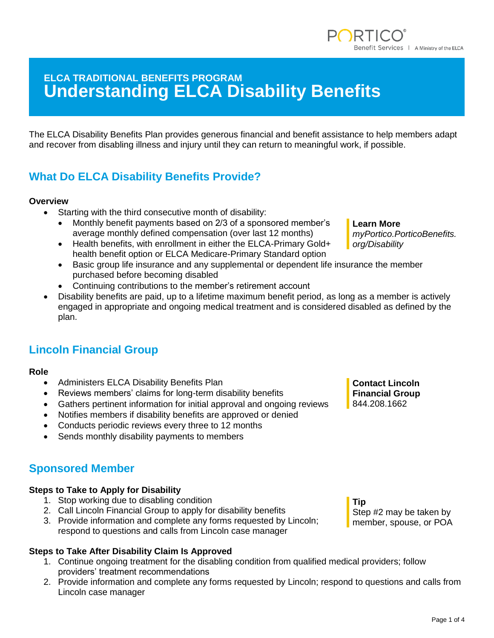# **ELCA TRADITIONAL BENEFITS PROGRAM Understanding ELCA Disability Benefits**

The ELCA Disability Benefits Plan provides generous financial and benefit assistance to help members adapt and recover from disabling illness and injury until they can return to meaningful work, if possible.

# **What Do ELCA Disability Benefits Provide?**

### **Overview**

- Starting with the third consecutive month of disability:
	- Monthly benefit payments based on 2/3 of a sponsored member's average monthly defined compensation (over last 12 months)
	- Health benefits, with enrollment in either the ELCA-Primary Gold+ health benefit option or ELCA Medicare-Primary Standard option
	- Basic group life insurance and any supplemental or dependent life insurance the member purchased before becoming disabled
	- Continuing contributions to the member's retirement account
- Disability benefits are paid, up to a lifetime maximum benefit period, as long as a member is actively engaged in appropriate and ongoing medical treatment and is considered disabled as defined by the plan.

## **Lincoln Financial Group**

- **Role**
	- Administers ELCA Disability Benefits Plan
	- Reviews members' claims for long-term disability benefits
	- Gathers pertinent information for initial approval and ongoing reviews
	- Notifies members if disability benefits are approved or denied
	- Conducts periodic reviews every three to 12 months
	- Sends monthly disability payments to members

## **Sponsored Member**

### **Steps to Take to Apply for Disability**

- 1. Stop working due to disabling condition
- 2. Call Lincoln Financial Group to apply for disability benefits
- 3. Provide information and complete any forms requested by Lincoln; respond to questions and calls from Lincoln case manager

## **Steps to Take After Disability Claim Is Approved**

- 1. Continue ongoing treatment for the disabling condition from qualified medical providers; follow providers' treatment recommendations
- 2. Provide information and complete any forms requested by Lincoln; respond to questions and calls from Lincoln case manager

**Contact Lincoln Financial Group** 844.208.1662

**Learn More** *myPortico.PorticoBenefits. org/Disability*

**Tip**

Step #2 may be taken by member, spouse, or POA

enefit Services | A Ministry of the ELCA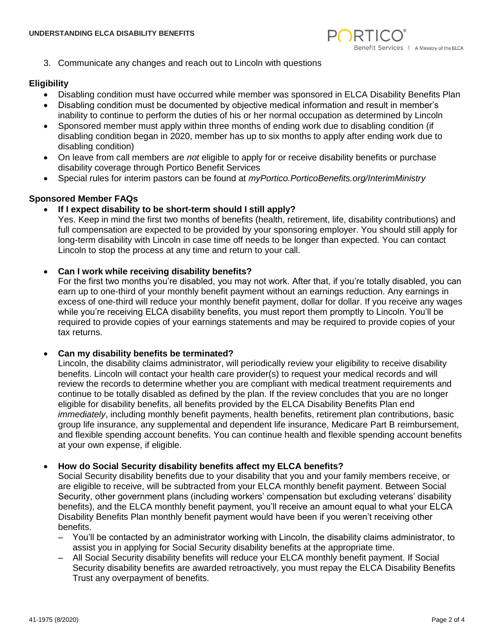

3. Communicate any changes and reach out to Lincoln with questions

#### **Eligibility**

- Disabling condition must have occurred while member was sponsored in ELCA Disability Benefits Plan
- Disabling condition must be documented by objective medical information and result in member's inability to continue to perform the duties of his or her normal occupation as determined by Lincoln
- Sponsored member must apply within three months of ending work due to disabling condition (if disabling condition began in 2020, member has up to six months to apply after ending work due to disabling condition)
- On leave from call members are *not* eligible to apply for or receive disability benefits or purchase disability coverage through Portico Benefit Services
- Special rules for interim pastors can be found at *myPortico.PorticoBenefits.org/InterimMinistry*

## **Sponsored Member FAQs**

#### • **If I expect disability to be short-term should I still apply?**

Yes. Keep in mind the first two months of benefits (health, retirement, life, disability contributions) and full compensation are expected to be provided by your sponsoring employer. You should still apply for long-term disability with Lincoln in case time off needs to be longer than expected. You can contact Lincoln to stop the process at any time and return to your call.

#### • **[Can I work while receiving disability benefits?](https://myportico.porticobenefits.org/benefits/disability#collapse-09524ae7-45ea-4a3b-85a7-74443e74d06b)**

For the first two months you're disabled, you may not work. After that, if you're totally disabled, you can earn up to one-third of your monthly benefit payment without an earnings reduction. Any earnings in excess of one-third will reduce your monthly benefit payment, dollar for dollar. If you receive any wages while you're receiving ELCA disability benefits, you must report them promptly to Lincoln. You'll be required to provide copies of your earnings statements and may be required to provide copies of your tax returns.

#### • **[Can my disability benefits be terminated?](https://myportico.porticobenefits.org/benefits/disability#collapse-b7a65a11-b0d5-42ed-97c0-e089a91017ae)**

Lincoln, the disability claims administrator, will periodically review your eligibility to receive disability benefits. Lincoln will contact your health care provider(s) to request your medical records and will review the records to determine whether you are compliant with medical treatment requirements and continue to be totally disabled as defined by the plan. If the review concludes that you are no longer eligible for disability benefits, all benefits provided by the ELCA Disability Benefits Plan end *immediately*, including monthly benefit payments, health benefits, retirement plan contributions, basic group life insurance, any supplemental and dependent life insurance, Medicare Part B reimbursement, and flexible spending account benefits. You can continue health and flexible spending account benefits at your own expense, if eligible.

#### • **[How do Social Security disability benefits affect my ELCA benefits?](https://myportico.porticobenefits.org/benefits/disability#collapse-72fed8f3-2916-4d2c-afb8-ed54564a3fdb)**

Social Security disability benefits due to your disability that you and your family members receive, or are eligible to receive, will be subtracted from your ELCA monthly benefit payment. Between Social Security, other government plans (including workers' compensation but excluding veterans' disability benefits), and the ELCA monthly benefit payment, you'll receive an amount equal to what your ELCA Disability Benefits Plan monthly benefit payment would have been if you weren't receiving other benefits.

- You'll be contacted by an administrator working with Lincoln, the disability claims administrator, to assist you in applying for Social Security disability benefits at the appropriate time.
- All Social Security disability benefits will reduce your ELCA monthly benefit payment. If Social Security disability benefits are awarded retroactively, you must repay the ELCA Disability Benefits Trust any overpayment of benefits.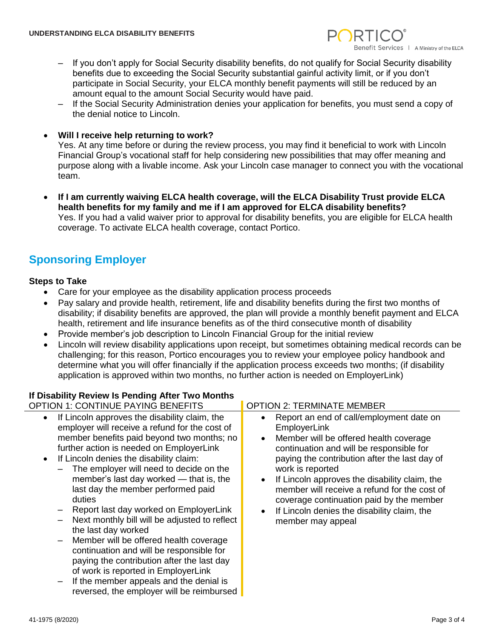

- If you don't apply for Social Security disability benefits, do not qualify for Social Security disability benefits due to exceeding the Social Security substantial gainful activity limit, or if you don't participate in Social Security, your ELCA monthly benefit payments will still be reduced by an amount equal to the amount Social Security would have paid.
- If the Social Security Administration denies your application for benefits, you must send a copy of the denial notice to Lincoln.
- **Will I receive help returning to work?**

Yes. At any time before or during the review process, you may find it beneficial to work with Lincoln Financial Group's vocational staff for help considering new possibilities that may offer meaning and purpose along with a livable income. Ask your Lincoln case manager to connect you with the vocational team.

• **If I am currently waiving ELCA health coverage, will the ELCA Disability Trust provide ELCA health benefits for my family and me if I am approved for ELCA disability benefits?** Yes. If you had a valid waiver prior to approval for disability benefits, you are eligible for ELCA health coverage. To activate ELCA health coverage, contact Portico.

## **Sponsoring Employer**

## **Steps to Take**

- Care for your employee as the disability application process proceeds
- Pay salary and provide health, retirement, life and disability benefits during the first two months of disability; if disability benefits are approved, the plan will provide a monthly benefit payment and ELCA health, retirement and life insurance benefits as of the third consecutive month of disability
- Provide member's job description to Lincoln Financial Group for the initial review
- Lincoln will review disability applications upon receipt, but sometimes obtaining medical records can be challenging; for this reason, Portico encourages you to review your employee policy handbook and determine what you will offer financially if the application process exceeds two months; (if disability application is approved within two months, no further action is needed on EmployerLink)

## **If Disability Review Is Pending After Two Months**

| If DISAbility Review is Pending After Two Months                                                                                                                                                                                                                                                                                                                                                                                                                                                                                                                                                                                                                                                                                                                                                                        |                                                                                                                                                                                                                                                                                                                                                                                                                                                   |
|-------------------------------------------------------------------------------------------------------------------------------------------------------------------------------------------------------------------------------------------------------------------------------------------------------------------------------------------------------------------------------------------------------------------------------------------------------------------------------------------------------------------------------------------------------------------------------------------------------------------------------------------------------------------------------------------------------------------------------------------------------------------------------------------------------------------------|---------------------------------------------------------------------------------------------------------------------------------------------------------------------------------------------------------------------------------------------------------------------------------------------------------------------------------------------------------------------------------------------------------------------------------------------------|
| <b>OPTION 1: CONTINUE PAYING BENEFITS</b>                                                                                                                                                                                                                                                                                                                                                                                                                                                                                                                                                                                                                                                                                                                                                                               | <b>OPTION 2: TERMINATE MEMBER</b>                                                                                                                                                                                                                                                                                                                                                                                                                 |
| If Lincoln approves the disability claim, the<br>employer will receive a refund for the cost of<br>member benefits paid beyond two months; no<br>further action is needed on EmployerLink<br>If Lincoln denies the disability claim:<br>The employer will need to decide on the<br>member's last day worked — that is, the<br>last day the member performed paid<br>duties<br>Report last day worked on EmployerLink<br>Next monthly bill will be adjusted to reflect<br>the last day worked<br>Member will be offered health coverage<br>$\overline{\phantom{m}}$<br>continuation and will be responsible for<br>paying the contribution after the last day<br>of work is reported in EmployerLink<br>If the member appeals and the denial is<br>$\overline{\phantom{m}}$<br>reversed, the employer will be reimbursed | Report an end of call/employment date on<br>EmployerLink<br>Member will be offered health coverage<br>$\bullet$<br>continuation and will be responsible for<br>paying the contribution after the last day of<br>work is reported<br>If Lincoln approves the disability claim, the<br>member will receive a refund for the cost of<br>coverage continuation paid by the member<br>If Lincoln denies the disability claim, the<br>member may appeal |